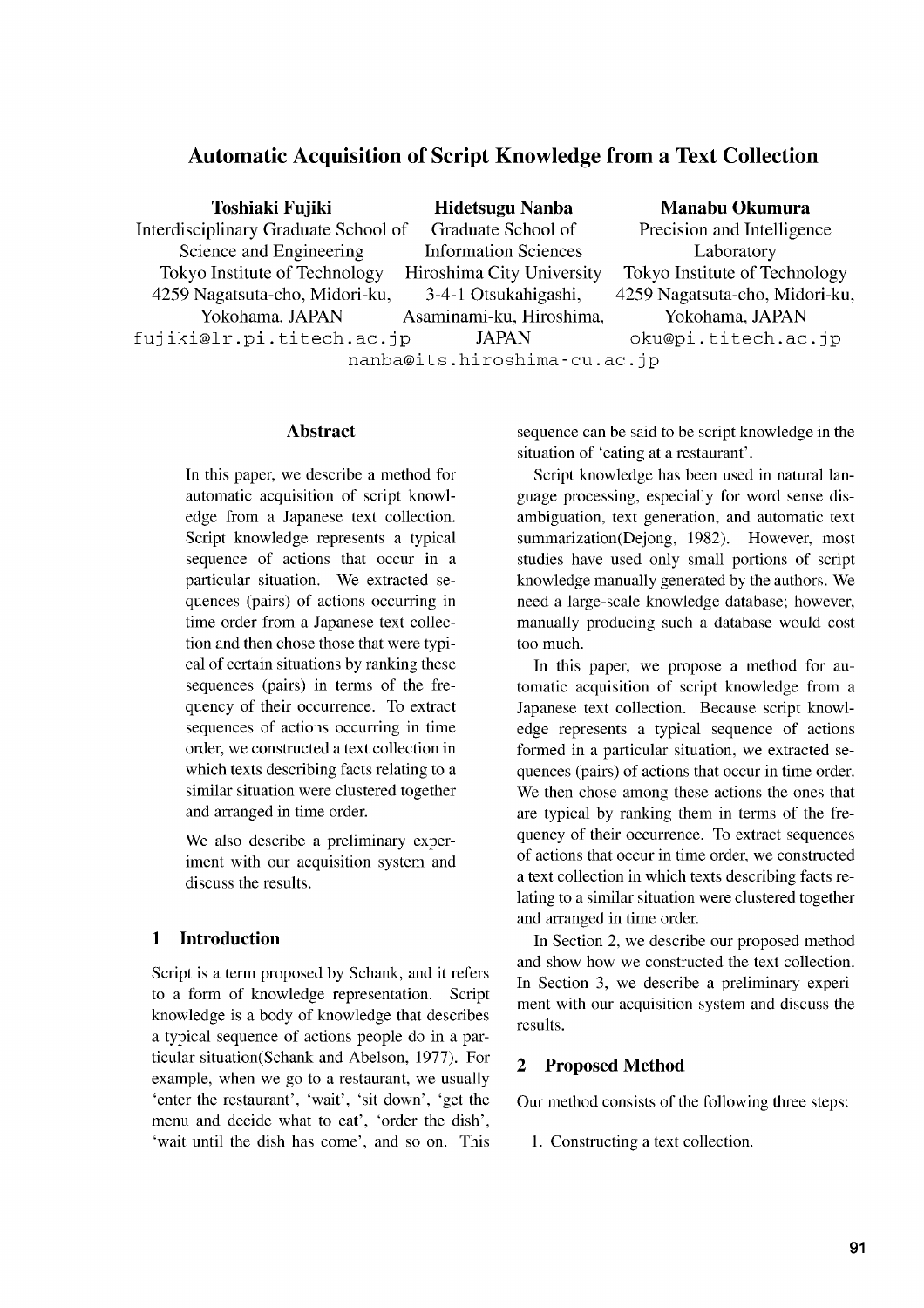# **Automatic Acquisition of Script Knowledge from a Text Collection**

| Toshiaki Fujiki                      | <b>Hidetsugu Nanba</b>      | Manabu Okumura                 |
|--------------------------------------|-----------------------------|--------------------------------|
| Interdisciplinary Graduate School of | Graduate School of          | Precision and Intelligence     |
| Science and Engineering              | <b>Information Sciences</b> | Laboratory                     |
| Tokyo Institute of Technology        | Hiroshima City University   | Tokyo Institute of Technology  |
| 4259 Nagatsuta-cho, Midori-ku,       | 3-4-1 Otsukahigashi,        | 4259 Nagatsuta-cho, Midori-ku, |
| Yokohama, JAPAN                      | Asaminami-ku, Hiroshima,    | Yokohama, JAPAN                |
| fujiki@lr.pi.titech.ac.jp            | <b>JAPAN</b>                | oku@pi.titech.ac.jp            |
| nanba@its.hiroshima-cu.ac.jp         |                             |                                |

#### **Abstract**

In this paper, we describe a method for automatic acquisition of script knowledge from a Japanese text collection. Script knowledge represents a typical sequence of actions that occur in a particular situation. We extracted sequences (pairs) of actions occurring in time order from a Japanese text collection and then chose those that were typical of certain situations by ranking these sequences (pairs) in terms of the frequency of their occurrence. To extract sequences of actions occurring in time order, we constructed a text collection in which texts describing facts relating to a similar situation were clustered together and arranged in time order.

We also describe a preliminary experiment with our acquisition system and discuss the results.

### **1 Introduction**

Script is a term proposed by Schank, and it refers to a form of knowledge representation. Script knowledge is a body of knowledge that describes a typical sequence of actions people do in a particular situation(Schank and Abelson, 1977). For example, when we go to a restaurant, we usually 'enter the restaurant', 'wait', 'sit down', 'get the menu and decide what to eat', 'order the dish', 'wait until the dish has come', and so on. This sequence can be said to be script knowledge in the situation of 'eating at a restaurant'.

Script knowledge has been used in natural language processing, especially for word sense disambiguation, text generation, and automatic text summarization(Dejong, 1982). However, most studies have used only small portions of script knowledge manually generated by the authors. We need a large-scale knowledge database; however, manually producing such a database would cost too much.

In this paper, we propose a method for automatic acquisition of script knowledge from a Japanese text collection. Because script knowledge represents a typical sequence of actions formed in a particular situation, we extracted sequences (pairs) of actions that occur in time order. We then chose among these actions the ones that are typical by ranking them in terms of the frequency of their occurrence. To extract sequences of actions that occur in time order, we constructed a text collection in which texts describing facts relating to a similar situation were clustered together and arranged in time order.

In Section 2, we describe our proposed method and show how we constructed the text collection. In Section 3, we describe a preliminary experiment with our acquisition system and discuss the results.

### **2 Proposed Method**

Our method consists of the following three steps:

1. Constructing a text collection.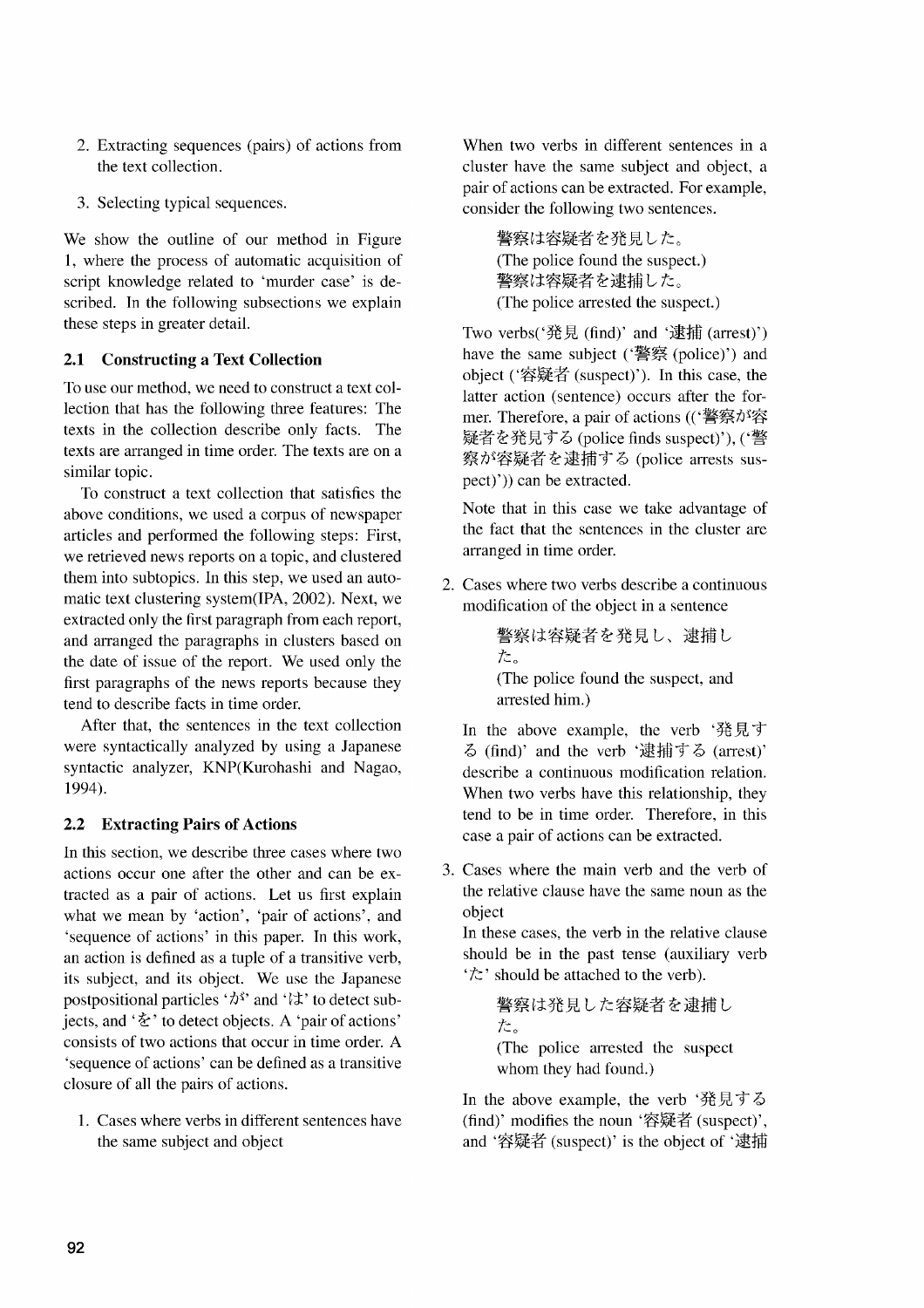- 2. Extracting sequences (pairs) of actions from the text collection.
- 3. Selecting typical sequences.

We show the outline of our method in Figure 1, where the process of automatic acquisition of script knowledge related to 'murder case' is described. In the following subsections we explain these steps in greater detail.

## **2.1 Constructing a Text Collection**

To use our method, we need to construct a text collection that has the following three features: The texts in the collection describe only facts. The texts are arranged in time order. The texts are on a similar topic.

To construct a text collection that satisfies the above conditions, we used a corpus of newspaper articles and performed the following steps: First, we retrieved news reports on a topic, and clustered them into subtopics. In this step, we used an automatic text clustering system(IPA, 2002). Next, we extracted only the first paragraph from each report, and arranged the paragraphs in clusters based on the date of issue of the report. We used only the first paragraphs of the news reports because they tend to describe facts in time order.

After that, the sentences in the text collection were syntactically analyzed by using a Japanese syntactic analyzer, KNP(Kurohashi and Nagao, 1994).

## **2.2 Extracting Pairs of Actions**

In this section, we describe three cases where two actions occur one after the other and can be extracted as a pair of actions. Let us first explain what we mean by 'action', 'pair of actions', and 'sequence of actions' in this paper. In this work, an action is defined as a tuple of a transitive verb, its subject, and its object. We use the Japanese postpositional particles ' $\lambda$ <sup>s</sup>' and ' $\lambda$ ' to detect subjects, and ' $\&$ ' to detect objects. A 'pair of actions' consists of two actions that occur in time order. A 'sequence of actions' can be defined as a transitive closure of all the pairs of actions.

1. Cases where verbs in different sentences have the same subject and object

When two verbs in different sentences in a cluster have the same subject and object, a pair of actions can be extracted. For example, consider the following two sentences.

> 警察は容疑者を発見した。 (The police found the suspect.) 警察は容疑者を逮捕した。 (The police arrested the suspect.)

Two verbs('発見(find)' and '逮捕(arrest)') have the same subject ('警察 (police)') and object ('容疑者 (suspect)'). In this case, the latter action (sentence) occurs after the former. Therefore, a pair of actions (('警察が容 疑者を発見する (police finds suspect)'), ('警 察が容疑者を逮捕する (police arrests suspect)')) can be extracted.

Note that in this case we take advantage of the fact that the sentences in the cluster are arranged in time order.

2. Cases where two verbs describe a continuous modification of the object in a sentence

```
警察は容疑者を発見し、逮捕し
た。
(The police found the suspect, and
arrested him.)
```
In the above example, the verb '発見す る (find)' and the verb '逮捕する (arrest)' describe a continuous modification relation. When two verbs have this relationship, they tend to be in time order. Therefore, in this case a pair of actions can be extracted.

3. Cases where the main verb and the verb of the relative clause have the same noun as the object

In these cases, the verb in the relative clause should be in the past tense (auxiliary verb <sup>\*</sup>た should be attached to the verb).

警察は発見した容疑者を逮捕し た。 (The police arrested the suspect whom they had found.)

In the above example, the verb '発見する (find)' modifies the noun '容疑者 (suspect)', and '容疑者 (suspect)' is the object of '逮捕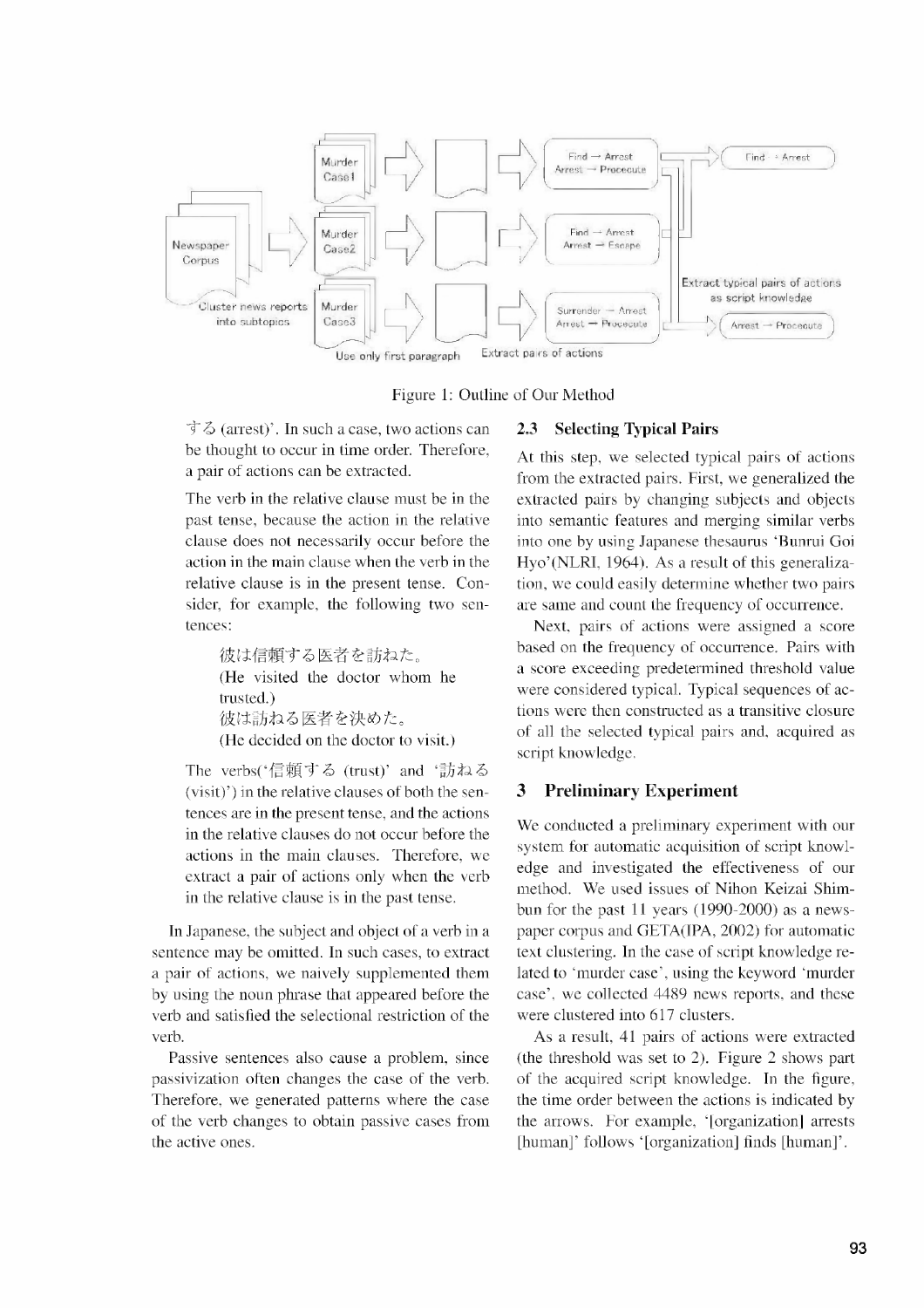

**Figure 1: Outline of Our Method**

1-6 (arrest)'. **In such a case, two actions can** be **thought to occur in time order. Therefore, a pair of actions can be extracted.**

**The verb in the relative clause must be in the past tense, because the action in the relative clause does not necessarily occur before the action in the main clause when the verb in the relative clause is in the present tense. Consider, for example, the following two sentences:**

> 彼は信頼する医者を訪ねた。 **(He visited the doctor whom he trusted.)** 彼は訪ねる医者を決めた。 **(He decided on the doctor to visit.)**

The verbs('信頼する (trust)' and '訪ねる **(visit)') in the relative clauses of both the sentences are in the present tense, and the actions in the relative clauses do not occur before the actions in the main clauses. Therefore, we extract a pair of actions only when the verb in the relative clause is in the past tense.**

**In Japanese, the subject and object of a verb in a sentence may be omitted. In such cases, to extract a pair of actions, we naively supplemented them by using the noun phrase that appeared before the verb and satisfied the selectional restriction of the verb.**

**Passive sentences also cause a problem, since passivization often changes the case of the verb. Therefore, we generated patterns where the case of the verb changes to obtain passive cases from the active ones.**

#### **2.3 Selecting Typical Pairs**

**At this step, we selected typical pairs of actions from the extracted pairs. First, we generalized the extracted pairs by changing subjects and objects into semantic features and merging similar verbs into one by using Japanese thesaurus `Bunrui Goi Hyo' (NLRI, 1964). As a result of this generalization, we could easily determine whether two pairs are same and count the frequency of occurrence.**

**Next, pairs of actions were assigned a score based on the frequency of occurrence. Pairs with a score exceeding predetermined threshold value were considered typical. Typical sequences of actions were then constructed as a transitive closure of all the selected typical pairs and, acquired as script knowledge.**

### **3 Preliminary Experiment**

**We conducted a preliminary experiment with our system for automatic acquisition of script knowledge and investigated the effectiveness of our method. We used issues of Nihon Keizai Shimbun for the past 11 years (1990-2000) as a newspaper corpus and GETA(IPA, 2002) for automatic text clustering. In the case of script knowledge related to 'murder case', using the keyword 'murder case', we collected 4489 news reports, and these were clustered into 617 clusters.**

**As a result, 41 pairs of actions were extracted (the threshold was set to 2). Figure 2 shows part of the acquired script knowledge. In the figure, the time order between the actions is indicated by** the arrows. For example, '[organization] arrests **[human]' follows `[organization] finds [human]'**